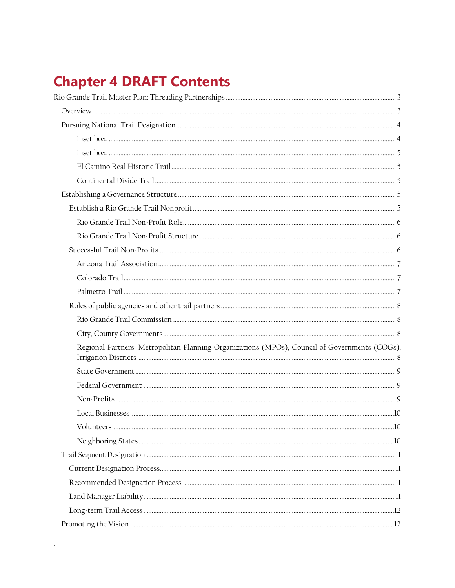# **Chapter 4 DRAFT Contents**

| Regional Partners: Metropolitan Planning Organizations (MPOs), Council of Governments (COGs), |  |
|-----------------------------------------------------------------------------------------------|--|
|                                                                                               |  |
|                                                                                               |  |
|                                                                                               |  |
|                                                                                               |  |
|                                                                                               |  |
|                                                                                               |  |
|                                                                                               |  |
|                                                                                               |  |
|                                                                                               |  |
|                                                                                               |  |
|                                                                                               |  |
|                                                                                               |  |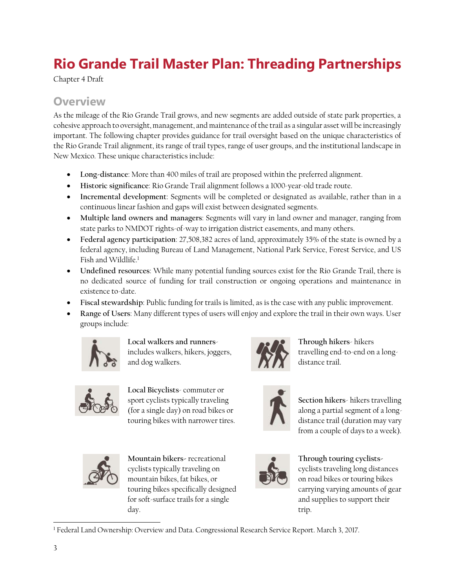# <span id="page-2-0"></span>**Rio Grande Trail Master Plan: Threading Partnerships**

Chapter 4 Draft

### <span id="page-2-1"></span>**Overview**

As the mileage of the Rio Grande Trail grows, and new segments are added outside of state park properties, a cohesive approach to oversight, management, and maintenance of the trail as a singular asset will be increasingly important. The following chapter provides guidance for trail oversight based on the unique characteristics of the Rio Grande Trail alignment, its range of trail types, range of user groups, and the institutional landscape in New Mexico. These unique characteristics include:

- **Long-distance**: More than 400 miles of trail are proposed within the preferred alignment.
- **Historic significance**: Rio Grande Trail alignment follows a 1000-year-old trade route.
- **Incremental development**: Segments will be completed or designated as available, rather than in a continuous linear fashion and gaps will exist between designated segments.
- **Multiple land owners and managers**: Segments will vary in land owner and manager, ranging from state parks to NMDOT rights-of-way to irrigation district easements, and many others.
- **Federal agency participation**: 27,508,382 acres of land, approximately 35% of the state is owned by a federal agency, including Bureau of Land Management, National Park Service, Forest Service, and US Fish and Wildlife.<sup>1</sup>
- **Undefined resources**: While many potential funding sources exist for the Rio Grande Trail, there is no dedicated source of funding for trail construction or ongoing operations and maintenance in existence to-date.
- **Fiscal stewardship**: Public funding for trails is limited, as is the case with any public improvement.
- **Range of Users**: Many different types of users will enjoy and explore the trail in their own ways. User groups include:



**Local walkers and runners**includes walkers, hikers, joggers, and dog walkers.

sport cyclists typically traveling (for a single day) on road bikes or touring bikes with narrower tires.



**Through hikers**- hikers travelling end-to-end on a longdistance trail.



**Section hikers**- hikers travelling along a partial segment of a longdistance trail (duration may vary from a couple of days to a week).



**Mountain bikers-** recreational cyclists typically traveling on mountain bikes, fat bikes, or touring bikes specifically designed for soft-surface trails for a single day.



**Through touring cyclists**cyclists traveling long distances on road bikes or touring bikes carrying varying amounts of gear and supplies to support their trip.

 $\overline{a}$ <sup>1</sup> Federal Land Ownership: Overview and Data. Congressional Research Service Report. March 3, 2017.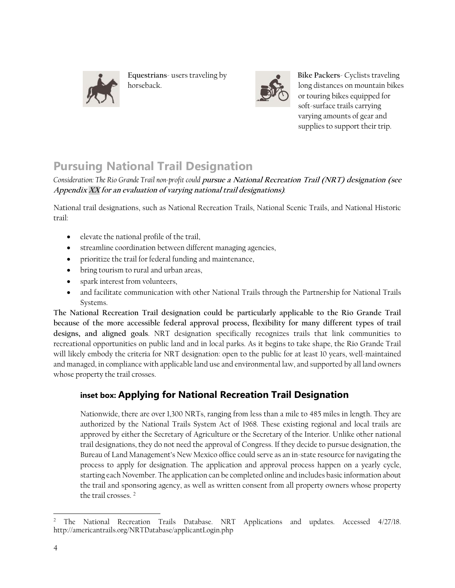

**Equestrians**- users traveling by horseback.



**Bike Packers**- Cyclists traveling long distances on mountain bikes or touring bikes equipped for soft-surface trails carrying varying amounts of gear and supplies to support their trip.

# <span id="page-3-0"></span>**Pursuing National Trail Designation**

*Consideration: The Rio Grande Trail non-profit could* **pursue a National Recreation Trail (NRT) designation (see Appendix XX for an evaluation of varying national trail designations)***.* 

National trail designations, such as National Recreation Trails, National Scenic Trails, and National Historic trail:

- elevate the national profile of the trail,
- streamline coordination between different managing agencies,
- prioritize the trail for federal funding and maintenance,
- bring tourism to rural and urban areas,
- spark interest from volunteers,
- and facilitate communication with other National Trails through the Partnership for National Trails Systems.

**The National Recreation Trail designation could be particularly applicable to the Rio Grande Trail because of the more accessible federal approval process, flexibility for many different types of trail designs, and aligned goals**. NRT designation specifically recognizes trails that link communities to recreational opportunities on public land and in local parks. As it begins to take shape, the Rio Grande Trail will likely embody the criteria for NRT designation: open to the public for at least 10 years, well-maintained and managed, in compliance with applicable land use and environmental law, and supported by all land owners whose property the trail crosses.

### <span id="page-3-1"></span>**inset box: Applying for National Recreation Trail Designation**

Nationwide, there are over 1,300 NRTs, ranging from less than a mile to 485 miles in length. They are authorized by the National Trails System Act of 1968. These existing regional and local trails are approved by either the Secretary of Agriculture or the Secretary of the Interior. Unlike other national trail designations, they do not need the approval of Congress. If they decide to pursue designation, the Bureau of Land Management's New Mexico office could serve as an in-state resource for navigating the process to apply for designation. The application and approval process happen on a yearly cycle, starting each November. The application can be completed online and includes basic information about the trail and sponsoring agency, as well as written consent from all property owners whose property the trail crosses. <sup>2</sup>

 $\overline{a}$ <sup>2</sup> The National Recreation Trails Database. NRT Applications and updates. Accessed 4/27/18. http://americantrails.org/NRTDatabase/applicantLogin.php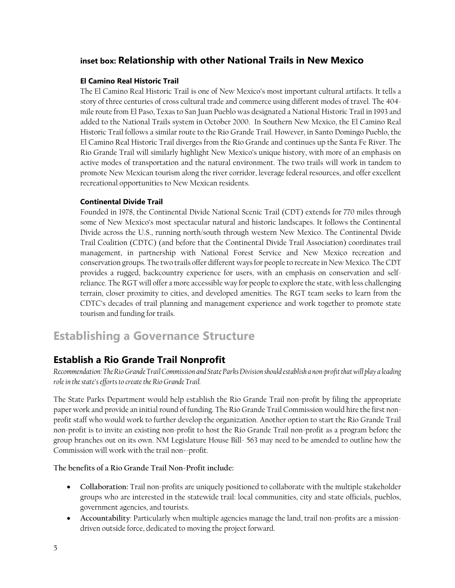### <span id="page-4-0"></span>**inset box: Relationship with other National Trails in New Mexico**

#### <span id="page-4-1"></span>**El Camino Real Historic Trail**

The El Camino Real Historic Trail is one of New Mexico's most important cultural artifacts. It tells a story of three centuries of cross cultural trade and commerce using different modes of travel. The 404 mile route from El Paso, Texas to San Juan Pueblo was designated a National Historic Trail in 1993 and added to the National Trails system in October 2000. In Southern New Mexico, the El Camino Real Historic Trail follows a similar route to the Rio Grande Trail. However, in Santo Domingo Pueblo, the El Camino Real Historic Trail diverges from the Rio Grande and continues up the Santa Fe River. The Rio Grande Trail will similarly highlight New Mexico's unique history, with more of an emphasis on active modes of transportation and the natural environment. The two trails will work in tandem to promote New Mexican tourism along the river corridor, leverage federal resources, and offer excellent recreational opportunities to New Mexican residents.

#### <span id="page-4-2"></span>**Continental Divide Trail**

Founded in 1978, the Continental Divide National Scenic Trail (CDT) extends for 770 miles through some of New Mexico's most spectacular natural and historic landscapes. It follows the Continental Divide across the U.S., running north/south through western New Mexico. The Continental Divide Trail Coalition (CDTC) (and before that the Continental Divide Trail Association) coordinates trail management, in partnership with National Forest Service and New Mexico recreation and conservation groups. The two trails offer different ways for people to recreate in New Mexico. The CDT provides a rugged, backcountry experience for users, with an emphasis on conservation and selfreliance. The RGT will offer a more accessible way for people to explore the state, with less challenging terrain, closer proximity to cities, and developed amenities. The RGT team seeks to learn from the CDTC's decades of trail planning and management experience and work together to promote state tourism and funding for trails.

### <span id="page-4-3"></span>**Establishing a Governance Structure**

### <span id="page-4-4"></span>**Establish a Rio Grande Trail Nonprofit**

*Recommendation: The Rio Grande Trail Commission and State Parks Division should establish a non-profit that will play a leading role in the state's efforts to create the Rio Grande Trail.* 

The State Parks Department would help establish the Rio Grande Trail non-profit by filing the appropriate paper work and provide an initial round of funding. The Rio Grande Trail Commission would hire the first nonprofit staff who would work to further develop the organization. Another option to start the Rio Grande Trail non-profit is to invite an existing non-profit to host the Rio Grande Trail non-profit as a program before the group branches out on its own. NM Legislature House Bill- 563 may need to be amended to outline how the Commission will work with the trail non=-profit.

**The benefits of a Rio Grande Trail Non-Profit include:** 

- **Collaboration:** Trail non-profits are uniquely positioned to collaborate with the multiple stakeholder groups who are interested in the statewide trail: local communities, city and state officials, pueblos, government agencies, and tourists.
- **Accountability**: Particularly when multiple agencies manage the land, trail non-profits are a missiondriven outside force, dedicated to moving the project forward.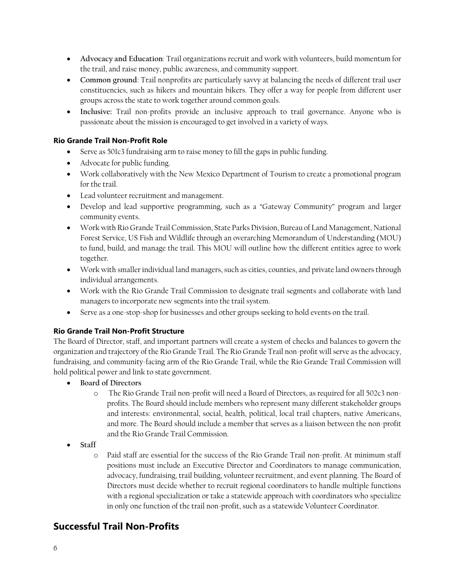- **Advocacy and Education**: Trail organizations recruit and work with volunteers, build momentum for the trail, and raise money, public awareness, and community support.
- **Common ground**: Trail nonprofits are particularly savvy at balancing the needs of different trail user constituencies, such as hikers and mountain bikers. They offer a way for people from different user groups across the state to work together around common goals.
- **Inclusive:** Trail non-profits provide an inclusive approach to trail governance. Anyone who is passionate about the mission is encouraged to get involved in a variety of ways.

### <span id="page-5-0"></span>**Rio Grande Trail Non-Profit Role**

- Serve as 501c3 fundraising arm to raise money to fill the gaps in public funding.
- Advocate for public funding.
- Work collaboratively with the New Mexico Department of Tourism to create a promotional program for the trail.
- Lead volunteer recruitment and management.
- Develop and lead supportive programming, such as a "Gateway Community" program and larger community events.
- Work with Rio Grande Trail Commission, State Parks Division, Bureau of Land Management, National Forest Service, US Fish and Wildlife through an overarching Memorandum of Understanding (MOU) to fund, build, and manage the trail. This MOU will outline how the different entities agree to work together.
- Work with smaller individual land managers, such as cities, counties, and private land owners through individual arrangements.
- Work with the Rio Grande Trail Commission to designate trail segments and collaborate with land managers to incorporate new segments into the trail system.
- Serve as a one-stop-shop for businesses and other groups seeking to hold events on the trail.

### <span id="page-5-1"></span>**Rio Grande Trail Non-Profit Structure**

The Board of Director, staff, and important partners will create a system of checks and balances to govern the organization and trajectory of the Rio Grande Trail. The Rio Grande Trail non-profit will serve as the advocacy, fundraising, and community-facing arm of the Rio Grande Trail, while the Rio Grande Trail Commission will hold political power and link to state government.

- **Board of Directors**
	- o The Rio Grande Trail non-profit will need a Board of Directors, as required for all 502c3 nonprofits. The Board should include members who represent many different stakeholder groups and interests: environmental, social, health, political, local trail chapters, native Americans, and more. The Board should include a member that serves as a liaison between the non-profit and the Rio Grande Trail Commission.
- **Staff**
	- o Paid staff are essential for the success of the Rio Grande Trail non-profit. At minimum staff positions must include an Executive Director and Coordinators to manage communication, advocacy, fundraising, trail building, volunteer recruitment, and event planning. The Board of Directors must decide whether to recruit regional coordinators to handle multiple functions with a regional specialization or take a statewide approach with coordinators who specialize in only one function of the trail non-profit, such as a statewide Volunteer Coordinator.

### <span id="page-5-2"></span>**Successful Trail Non-Profits**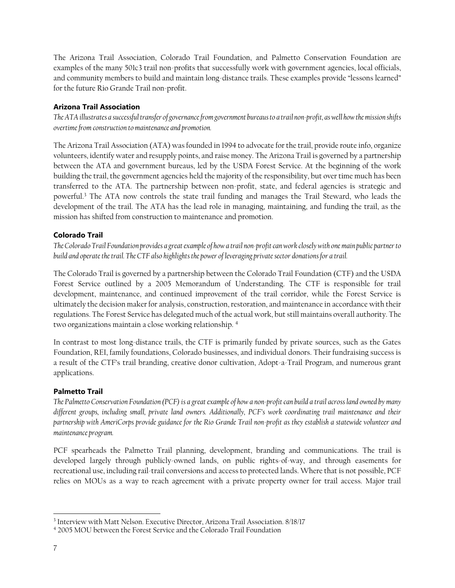The Arizona Trail Association, Colorado Trail Foundation, and Palmetto Conservation Foundation are examples of the many 501c3 trail non-profits that successfully work with government agencies, local officials, and community members to build and maintain long-distance trails. These examples provide "lessons learned" for the future Rio Grande Trail non-profit.

#### <span id="page-6-0"></span>**Arizona Trail Association**

*The ATA illustrates a successful transfer of governance from government bureaus to a trail non-profit, as well how the mission shifts overtime from construction to maintenance and promotion.* 

The Arizona Trail Association (ATA) was founded in 1994 to advocate for the trail, provide route info, organize volunteers, identify water and resupply points, and raise money. The Arizona Trail is governed by a partnership between the ATA and government bureaus, led by the USDA Forest Service. At the beginning of the work building the trail, the government agencies held the majority of the responsibility, but over time much has been transferred to the ATA. The partnership between non-profit, state, and federal agencies is strategic and powerful.<sup>3</sup> The ATA now controls the state trail funding and manages the Trail Steward, who leads the development of the trail. The ATA has the lead role in managing, maintaining, and funding the trail, as the mission has shifted from construction to maintenance and promotion.

#### <span id="page-6-1"></span>**Colorado Trail**

*The Colorado Trail Foundation provides a great example of how a trail non-profit can work closely with onemain public partnerto build and operate the trail. The CTF also highlights the power of leveraging private sector donations for a trail.* 

The Colorado Trail is governed by a partnership between the Colorado Trail Foundation (CTF) and the USDA Forest Service outlined by a 2005 Memorandum of Understanding. The CTF is responsible for trail development, maintenance, and continued improvement of the trail corridor, while the Forest Service is ultimately the decision maker for analysis, construction, restoration, and maintenance in accordance with their regulations. The Forest Service has delegated much of the actual work, but still maintains overall authority. The two organizations maintain a close working relationship. <sup>4</sup>

In contrast to most long-distance trails, the CTF is primarily funded by private sources, such as the Gates Foundation, REI, family foundations, Colorado businesses, and individual donors. Their fundraising success is a result of the CTF's trail branding, creative donor cultivation, Adopt-a-Trail Program, and numerous grant applications.

#### <span id="page-6-2"></span>**Palmetto Trail**

*The Palmetto Conservation Foundation (PCF) is a great example of how a non-profit can build a trail across land owned by many different groups, including small, private land owners. Additionally, PCF's work coordinating trail maintenance and their partnership with AmeriCorps provide guidance for the Rio Grande Trail non-profit as they establish a statewide volunteer and maintenance program.* 

PCF spearheads the Palmetto Trail planning, development, branding and communications. The trail is developed largely through publicly-owned lands, on public rights-of-way, and through easements for recreational use, including rail-trail conversions and access to protected lands. Where that is not possible, PCF relies on MOUs as a way to reach agreement with a private property owner for trail access. Major trail

 $\overline{a}$ 

<sup>3</sup> Interview with Matt Nelson. Executive Director, Arizona Trail Association. 8/18/17

<sup>4</sup> 2005 MOU between the Forest Service and the Colorado Trail Foundation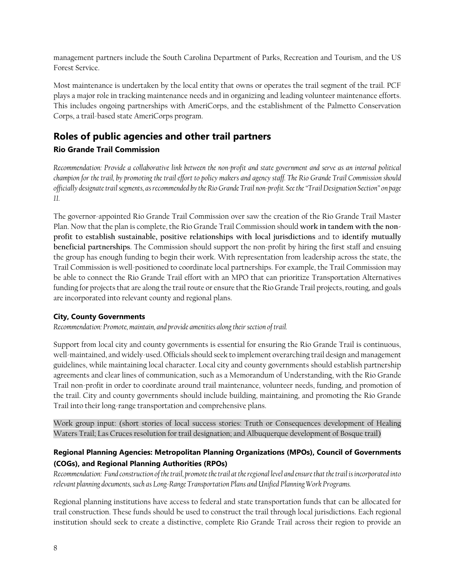management partners include the South Carolina Department of Parks, Recreation and Tourism, and the US Forest Service.

Most maintenance is undertaken by the local entity that owns or operates the trail segment of the trail. PCF plays a major role in tracking maintenance needs and in organizing and leading volunteer maintenance efforts. This includes ongoing partnerships with AmeriCorps, and the establishment of the Palmetto Conservation Corps, a trail-based state AmeriCorps program.

### <span id="page-7-0"></span>**Roles of public agencies and other trail partners**

### <span id="page-7-1"></span>**Rio Grande Trail Commission**

*Recommendation: Provide a collaborative link between the non-profit and state government and serve as an internal political champion for the trail, by promoting the trail effort to policy makers and agency staff. The Rio Grande Trail Commission should officially designate trail segments, as recommended by the Rio Grande Trail non-profit. See the "Trail Designation Section" on page [11.](#page-10-0)* 

The governor-appointed Rio Grande Trail Commission over saw the creation of the Rio Grande Trail Master Plan. Now that the plan is complete, the Rio Grande Trail Commission should **work in tandem with the nonprofit to establish sustainable, positive relationships with local jurisdictions** and to **identify mutually beneficial partnerships**. The Commission should support the non-profit by hiring the first staff and ensuing the group has enough funding to begin their work. With representation from leadership across the state, the Trail Commission is well-positioned to coordinate local partnerships. For example, the Trail Commission may be able to connect the Rio Grande Trail effort with an MPO that can prioritize Transportation Alternatives funding for projects that are along the trail route or ensure that the Rio Grande Trail projects, routing, and goals are incorporated into relevant county and regional plans.

### <span id="page-7-2"></span>**City, County Governments**

Recommendation: Promote, maintain, and provide amenities along their section of trail.

Support from local city and county governments is essential for ensuring the Rio Grande Trail is continuous, well-maintained, and widely-used. Officials should seek to implement overarching trail design and management guidelines, while maintaining local character. Local city and county governments should establish partnership agreements and clear lines of communication, such as a Memorandum of Understanding, with the Rio Grande Trail non-profit in order to coordinate around trail maintenance, volunteer needs, funding, and promotion of the trail. City and county governments should include building, maintaining, and promoting the Rio Grande Trail into their long-range transportation and comprehensive plans.

Work group input: (short stories of local success stories: Truth or Consequences development of Healing Waters Trail; Las Cruces resolution for trail designation; and Albuquerque development of Bosque trail)

### <span id="page-7-3"></span>**Regional Planning Agencies: Metropolitan Planning Organizations (MPOs), Council of Governments (COGs), and Regional Planning Authorities (RPOs)**

*Recommendation: Fund construction of the trail, promote the trail at the regional level and ensure that the trail is incorporated into relevant planning documents, such as Long-Range Transportation Plans and Unified Planning Work Programs.* 

Regional planning institutions have access to federal and state transportation funds that can be allocated for trail construction. These funds should be used to construct the trail through local jurisdictions. Each regional institution should seek to create a distinctive, complete Rio Grande Trail across their region to provide an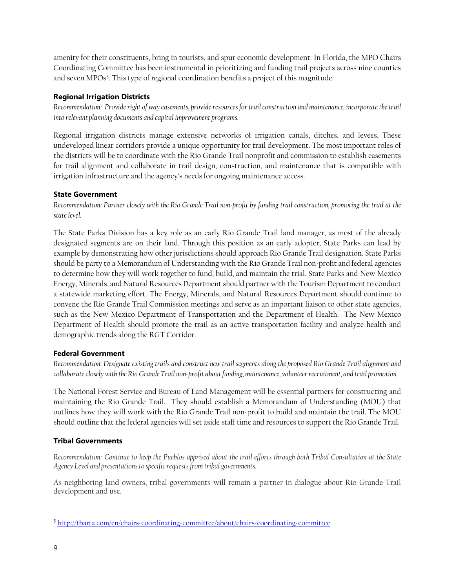amenity for their constituents, bring in tourists, and spur economic development. In Florida, the MPO Chairs Coordinating Committee has been instrumental in prioritizing and funding trail projects across nine counties and seven MPOs<sup>5</sup>. This type of regional coordination benefits a project of this magnitude.

### <span id="page-8-0"></span>**Regional Irrigation Districts**

*Recommendation: Provide right of way easements, provide resources for trail construction and maintenance, incorporate the trail into relevant planning documents and capital improvement programs.* 

Regional irrigation districts manage extensive networks of irrigation canals, ditches, and levees. These undeveloped linear corridors provide a unique opportunity for trail development. The most important roles of the districts will be to coordinate with the Rio Grande Trail nonprofit and commission to establish easements for trail alignment and collaborate in trail design, construction, and maintenance that is compatible with irrigation infrastructure and the agency's needs for ongoing maintenance access.

#### **State Government**

*Recommendation: Partner closely with the Rio Grande Trail non-profit by funding trail construction, promoting the trail at the state level.* 

The State Parks Division has a key role as an early Rio Grande Trail land manager, as most of the already designated segments are on their land. Through this position as an early adopter, State Parks can lead by example by demonstrating how other jurisdictions should approach Rio Grande Trail designation. State Parks should be party to a Memorandum of Understanding with the Rio Grande Trail non-profit and federal agencies to determine how they will work together to fund, build, and maintain the trial. State Parks and New Mexico Energy, Minerals, and Natural Resources Departmentshould partner with the Tourism Department to conduct a statewide marketing effort. The Energy, Minerals, and Natural Resources Department should continue to convene the Rio Grande Trail Commission meetings and serve as an important liaison to other state agencies, such as the New Mexico Department of Transportation and the Department of Health. The New Mexico Department of Health should promote the trail as an active transportation facility and analyze health and demographic trends along the RGT Corridor.

### <span id="page-8-1"></span>**Federal Government**

*Recommendation: Designate existing trails and construct new trail segments along the proposed Rio Grande Trail alignment and collaborate closely with the Rio Grande Trail non-profit about funding, maintenance, volunteer recruitment, and trail promotion.* 

The National Forest Service and Bureau of Land Management will be essential partners for constructing and maintaining the Rio Grande Trail. They should establish a Memorandum of Understanding (MOU) that outlines how they will work with the Rio Grande Trail non-profit to build and maintain the trail. The MOU should outline that the federal agencies will set aside staff time and resources to support the Rio Grande Trail.

### <span id="page-8-2"></span>**Tribal Governments**

*Recommendation: Continue to keep the Pueblos apprised about the trail efforts through both Tribal Consultation at the State Agency Level and presentations to specific requests from tribal governments.*

As neighboring land owners, tribal governments will remain a partner in dialogue about Rio Grande Trail development and use.

 $\overline{a}$ <sup>5</sup> <http://tbarta.com/en/chairs-coordinating-committee/about/chairs-coordinating-committee>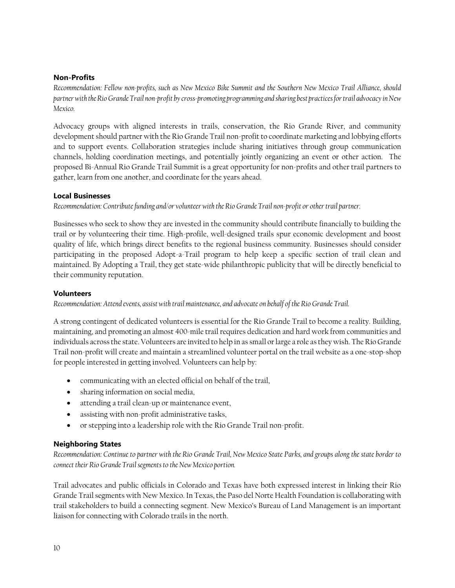#### **Non-Profits**

*Recommendation: Fellow non-profits, such as New Mexico Bike Summit and the Southern New Mexico Trail Alliance, should partner with the RioGrande Trail non-profit by cross-promoting programming and sharing best practices for trail advocacy in New Mexico.* 

Advocacy groups with aligned interests in trails, conservation, the Rio Grande River, and community development should partner with the Rio Grande Trail non-profit to coordinate marketing and lobbying efforts and to support events. Collaboration strategies include sharing initiatives through group communication channels, holding coordination meetings, and potentially jointly organizing an event or other action. The proposed Bi-Annual Rio Grande Trail Summit is a great opportunity for non-profits and other trail partners to gather, learn from one another, and coordinate for the years ahead.

#### <span id="page-9-0"></span>**Local Businesses**

*Recommendation: Contribute funding and/or volunteer with the Rio Grande Trail non-profit or other trail partner.* 

Businesses who seek to show they are invested in the community should contribute financially to building the trail or by volunteering their time. High-profile, well-designed trails spur economic development and boost quality of life, which brings direct benefits to the regional business community. Businesses should consider participating in the proposed Adopt-a-Trail program to help keep a specific section of trail clean and maintained. By Adopting a Trail, they get state-wide philanthropic publicity that will be directly beneficial to their community reputation.

#### <span id="page-9-1"></span>**Volunteers**

*Recommendation: Attend events, assist with trail maintenance, and advocate on behalf of the Rio Grande Trail.* 

A strong contingent of dedicated volunteers is essential for the Rio Grande Trail to become a reality. Building, maintaining, and promoting an almost 400-mile trail requires dedication and hard work from communities and individuals across the state. Volunteers are invited to help in as small or large a role as they wish. The Rio Grande Trail non-profit will create and maintain a streamlined volunteer portal on the trail website as a one-stop-shop for people interested in getting involved. Volunteers can help by:

- communicating with an elected official on behalf of the trail,
- sharing information on social media,
- attending a trail clean-up or maintenance event,
- assisting with non-profit administrative tasks,
- or stepping into a leadership role with the Rio Grande Trail non-profit.

#### <span id="page-9-2"></span>**Neighboring States**

*Recommendation: Continue to partner with the Rio Grande Trail, New Mexico State Parks, and groups along the state border to connect their Rio Grande Trail segments to the New Mexico portion.* 

Trail advocates and public officials in Colorado and Texas have both expressed interest in linking their Rio Grande Trail segments with New Mexico. In Texas, the Paso del Norte Health Foundation is collaborating with trail stakeholders to build a connecting segment. New Mexico's Bureau of Land Management is an important liaison for connecting with Colorado trails in the north.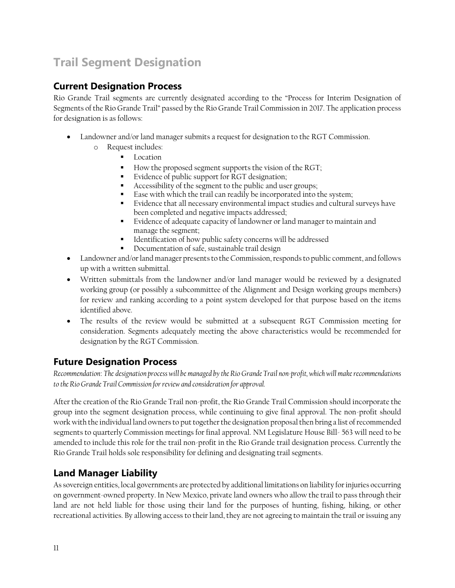# <span id="page-10-0"></span>**Trail Segment Designation**

### <span id="page-10-1"></span>**Current Designation Process**

Rio Grande Trail segments are currently designated according to the "Process for Interim Designation of Segments of the Rio Grande Trail" passed by the Rio Grande Trail Commission in 2017. The application process for designation is as follows:

- Landowner and/or land manager submits a request for designation to the RGT Commission.
	- o Request includes:
		- Location
		- How the proposed segment supports the vision of the RGT;
		- Evidence of public support for RGT designation;
		- Accessibility of the segment to the public and user groups;
		- Ease with which the trail can readily be incorporated into the system;
		- Evidence that all necessary environmental impact studies and cultural surveys have been completed and negative impacts addressed;
		- Evidence of adequate capacity of landowner or land manager to maintain and manage the segment;
		- Identification of how public safety concerns will be addressed
		- Documentation of safe, sustainable trail design
- Landowner and/or land manager presents to the Commission, responds to public comment, and follows up with a written submittal.
- Written submittals from the landowner and/or land manager would be reviewed by a designated working group (or possibly a subcommittee of the Alignment and Design working groups members) for review and ranking according to a point system developed for that purpose based on the items identified above.
- The results of the review would be submitted at a subsequent RGT Commission meeting for consideration. Segments adequately meeting the above characteristics would be recommended for designation by the RGT Commission.

### <span id="page-10-2"></span>**Future Designation Process**

*Recommendation*: *The designation process will be managed by the Rio Grande Trail non-profit, which will make recommendations to the Rio Grande Trail Commission for review and consideration for approval.*

After the creation of the Rio Grande Trail non-profit, the Rio Grande Trail Commission should incorporate the group into the segment designation process, while continuing to give final approval. The non-profit should work with the individual land owners to put together the designation proposal then bring a list of recommended segments to quarterly Commission meetings for final approval. NM Legislature House Bill- 563 will need to be amended to include this role for the trail non-profit in the Rio Grande trail designation process. Currently the Rio Grande Trail holds sole responsibility for defining and designating trail segments.

### <span id="page-10-3"></span>**Land Manager Liability**

As sovereign entities, local governments are protected by additional limitations on liability for injuries occurring on government-owned property. In New Mexico, private land owners who allow the trail to pass through their land are not held liable for those using their land for the purposes of hunting, fishing, hiking, or other recreational activities. By allowing access to their land, they are not agreeing to maintain the trail or issuing any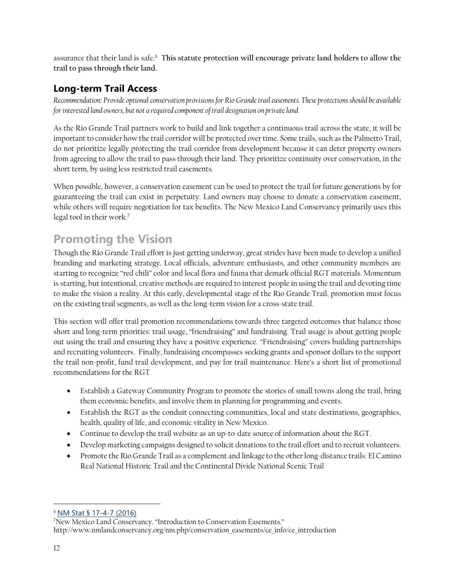assurance that their land is safe.<sup>6</sup> **This statute protection will encourage private land holders to allow the trail to pass through their land.** 

### <span id="page-11-0"></span>**Long-term Trail Access**

*Recommendation: Provide optional conservation provisions for Rio Grande trail easements. These protections should be available for interested land owners, but not a required component of trail designation on private land.* 

As the Rio Grande Trail partners work to build and link together a continuous trail across the state, it will be important to consider how the trail corridor will be protected over time. Some trails, such as the Palmetto Trail, do not prioritize legally protecting the trail corridor from development because it can deter property owners from agreeing to allow the trail to pass through their land. They prioritize continuity over conservation, in the short term, by using less restricted trail easements.

When possible, however, a conservation easement can be used to protect the trail for future generations by for guaranteeing the trail can exist in perpetuity. Land owners may choose to donate a conservation easement, while others will require negotiation for tax benefits. The New Mexico Land Conservancy primarily uses this legal tool in their work.<sup>7</sup>

# <span id="page-11-1"></span>**Promoting the Vision**

Though the Rio Grande Trail effort is just getting underway, great strides have been made to develop a unified branding and marketing strategy. Local officials, adventure enthusiasts, and other community members are starting to recognize "red chili" color and local flora and fauna that demark official RGT materials. Momentum is starting, but intentional, creative methods are required to interest people in using the trail and devoting time to make the vision a reality. At this early, developmental stage of the Rio Grande Trail, promotion must focus on the existing trail segments, as well as the long-term vision for a cross-state trail.

This section will offer trail promotion recommendations towards three targeted outcomes that balance those short and long-term priorities: trail usage, "friendraising" and fundraising. Trail usage is about getting people out using the trail and ensuring they have a positive experience. "Friendraising" covers building partnerships and recruiting volunteers. Finally, fundraising encompasses seeking grants and sponsor dollars to the support the trail non-profit, fund trail development, and pay for trail maintenance. Here's a short list of promotional recommendations for the RGT

- Establish a Gateway Community Program to promote the stories of small towns along the trail, bring them economic benefits, and involve them in planning for programming and events.
- Establish the RGT as the conduit connecting communities, local and state destinations, geographies, health, quality of life, and economic vitality in New Mexico.
- Continue to develop the trail website as an up-to-date source of information about the RGT.
- Develop marketing campaigns designed to solicit donations to the trail effort and to recruit volunteers.
- Promote the Rio Grande Trail as a complement and linkage to the other long-distance trails: El Camino Real National Historic Trail and the Continental Divide National Scenic Trail

 $\overline{a}$ 

<sup>6</sup> [NM Stat § 17-4-7 \(2016\)](https://law.justia.com/citations.html)

<sup>7</sup>New Mexico Land Conservancy. "Introduction to Conservation Easements." http://www.nmlandconservancy.org/nm.php/conservation\_easements/ce\_info/ce\_introduction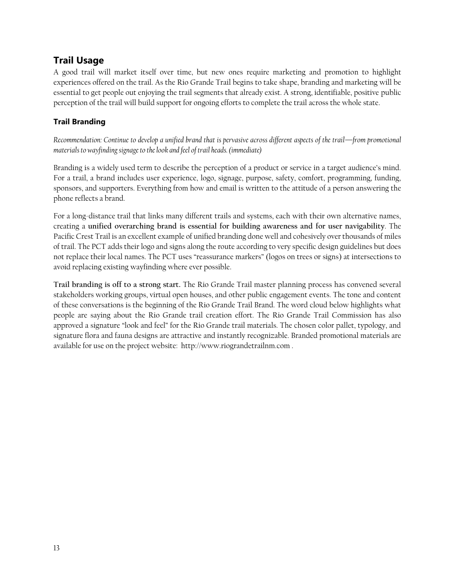### <span id="page-12-0"></span>**Trail Usage**

A good trail will market itself over time, but new ones require marketing and promotion to highlight experiences offered on the trail. As the Rio Grande Trail begins to take shape, branding and marketing will be essential to get people out enjoying the trail segments that already exist. A strong, identifiable, positive public perception of the trail will build support for ongoing efforts to complete the trail across the whole state.

### <span id="page-12-1"></span>**Trail Branding**

*Recommendation: Continue to develop a unified brand that is pervasive across different aspects of the trail—from promotional materials to wayfinding signage to the look and feel of trail heads. (immediate)* 

Branding is a widely used term to describe the perception of a product or service in a target audience's mind. For a trail, a brand includes user experience, logo, signage, purpose, safety, comfort, programming, funding, sponsors, and supporters. Everything from how and email is written to the attitude of a person answering the phone reflects a brand.

For a long-distance trail that links many different trails and systems, each with their own alternative names, creating a **unified overarching brand is essential for building awareness and for user navigability**. The Pacific Crest Trail is an excellent example of unified branding done well and cohesively over thousands of miles of trail. The PCT adds their logo and signs along the route according to very specific design guidelines but does not replace their local names. The PCT uses "reassurance markers" (logos on trees or signs) at intersections to avoid replacing existing wayfinding where ever possible.

**Trail branding is off to a strong start.** The Rio Grande Trail master planning process has convened several stakeholders working groups, virtual open houses, and other public engagement events. The tone and content of these conversations is the beginning of the Rio Grande Trail Brand. The word cloud below highlights what people are saying about the Rio Grande trail creation effort. The Rio Grande Trail Commission has also approved a signature "look and feel" for the Rio Grande trail materials. The chosen color pallet, typology, and signature flora and fauna designs are attractive and instantly recognizable. Branded promotional materials are available for use on the project website: http://www.riograndetrailnm.com .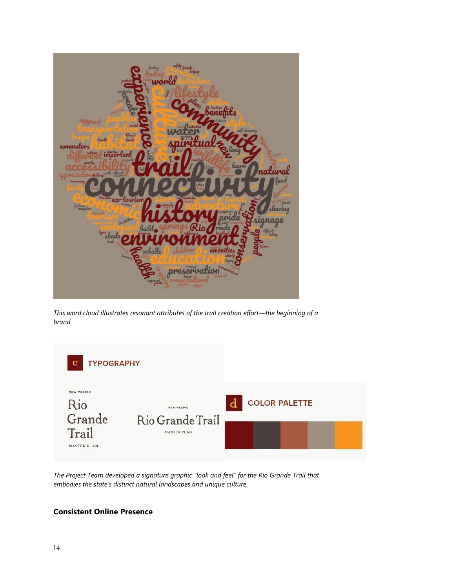

*This word cloud illustrates resonant attributes of the trail creation effort—the beginning of a brand.* 



*The Project Team developed a signature graphic "look and feel" for the Rio Grande Trail that embodies the state's distinct natural landscapes and unique culture.* 

#### <span id="page-13-0"></span>**Consistent Online Presence**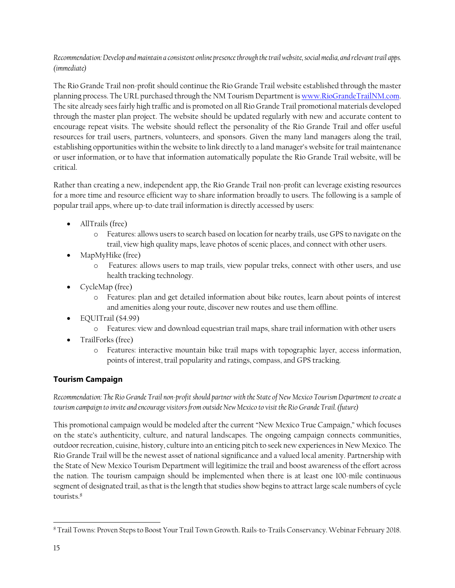### *Recommendation: Develop and maintain a consistent online presence through the trail website, social media, and relevant trail apps. (immediate)*

The Rio Grande Trail non-profit should continue the Rio Grande Trail website established through the master planning process. The URL purchased through the NM Tourism Department i[s www.RioGrandeTrailNM.com.](http://www.riograndetrailnm.com/) The site already sees fairly high traffic and is promoted on all Rio Grande Trail promotional materials developed through the master plan project. The website should be updated regularly with new and accurate content to encourage repeat visits. The website should reflect the personality of the Rio Grande Trail and offer useful resources for trail users, partners, volunteers, and sponsors. Given the many land managers along the trail, establishing opportunities within the website to link directly to a land manager's website for trail maintenance or user information, or to have that information automatically populate the Rio Grande Trail website, will be critical.

Rather than creating a new, independent app, the Rio Grande Trail non-profit can leverage existing resources for a more time and resource efficient way to share information broadly to users. The following is a sample of popular trail apps, where up-to-date trail information is directly accessed by users:

- AllTrails (free)
	- o Features: allows users to search based on location for nearby trails, use GPS to navigate on the trail, view high quality maps, leave photos of scenic places, and connect with other users.
- MapMyHike (free)
	- o Features: allows users to map trails, view popular treks, connect with other users, and use health tracking technology.
- CycleMap (free)
	- o Features: plan and get detailed information about bike routes, learn about points of interest and amenities along your route, discover new routes and use them offline.
- EQUITrail (\$4.99)
	- o Features: view and download equestrian trail maps, share trail information with other users
- TrailForks (free)
	- o Features: interactive mountain bike trail maps with topographic layer, access information, points of interest, trail popularity and ratings, compass, and GPS tracking.

### <span id="page-14-0"></span>**Tourism Campaign**

*Recommendation: The Rio Grande Trail non-profit should partner with the State of New Mexico Tourism Department to create a tourism campaign to invite and encourage visitors from outside New Mexico to visit the Rio Grande Trail. (future)*

This promotional campaign would be modeled after the current "New Mexico True Campaign," which focuses on the state's authenticity, culture, and natural landscapes. The ongoing campaign connects communities, outdoor recreation, cuisine, history, culture into an enticing pitch to seek new experiences in New Mexico. The Rio Grande Trail will be the newest asset of national significance and a valued local amenity. Partnership with the State of New Mexico Tourism Department will legitimize the trail and boost awareness of the effort across the nation. The tourism campaign should be implemented when there is at least one 100-mile continuous segment of designated trail, as that is the length that studies show begins to attract large scale numbers of cycle tourists.<sup>8</sup>

 $\overline{a}$ <sup>8</sup> Trail Towns: Proven Steps to Boost Your Trail Town Growth. Rails-to-Trails Conservancy. Webinar February 2018.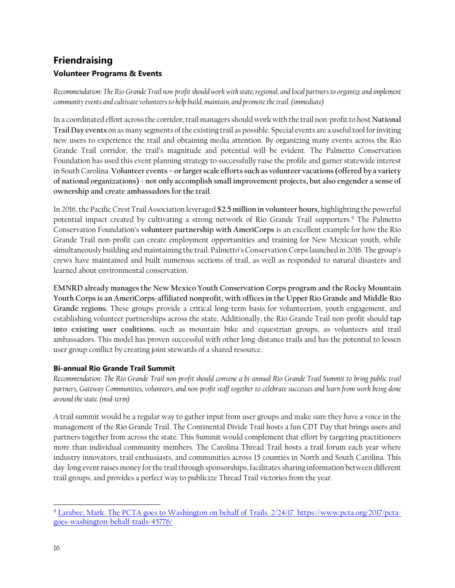### <span id="page-15-1"></span><span id="page-15-0"></span>**Friendraising Volunteer Programs & Events**

*Recommendation: The Rio Grande Trail non-profit should work with state, regional, and local partners to organize and implement community events and cultivate volunteers to help build, maintain, and promote the trail. (immediate)*

In a coordinated effort across the corridor, trail managers should work with the trail non-profit to host **National Trail Day events** on as many segments of the existing trail as possible. Special events are a useful tool for inviting new users to experience the trail and obtaining media attention. By organizing many events across the Rio Grande Trail corridor, the trail's magnitude and potential will be evident. The Palmetto Conservation Foundation has used this event planning strategy to successfully raise the profile and garner statewide interest in South Carolina. **Volunteer events – or larger scale efforts such as volunteer vacations (offered by a variety of national organizations) - not only accomplish small improvement projects, but also engender a sense of ownership and create ambassadors for the trail.**

In 2016, the Pacific Crest Trail Association leveraged **\$2.5 million in volunteer hours,** highlighting the powerful potential impact created by cultivating a strong network of Rio Grande Trail supporters.<sup>9</sup> The Palmetto Conservation Foundation's **volunteer partnership with AmeriCorps** is an excellent example for how the Rio Grande Trail non-profit can create employment opportunities and training for New Mexican youth, while simultaneously building and maintaining the trail. Palmetto's Conservation Corps launched in 2016. The group's crews have maintained and built numerous sections of trail, as well as responded to natural disasters and learned about environmental conservation.

**EMNRD already manages the New Mexico Youth Conservation Corps program and the Rocky Mountain Youth Corps is an AmeriCorps-affiliated nonprofit, with offices in the Upper Rio Grande and Middle Rio Grande regions.** These groups provide a critical long-term basis for volunteerism, youth engagement, and establishing volunteer partnerships across the state, Additionally, the Rio Grande Trail non-profit should **tap into existing user coalitions**, such as mountain bike and equestrian groups, as volunteers and trail ambassadors. This model has proven successful with other long-distance trails and has the potential to lessen user group conflict by creating joint stewards of a shared resource.

### <span id="page-15-2"></span>**Bi-annual Rio Grande Trail Summit**

*Recommendation: The Rio Grande Trail non-profit should convene a bi-annual Rio Grande Trail Summit to bring public trail partners, Gateway Communities, volunteers, and non-profit staff together to celebrate successes and learn from work being done around the state. (mid-term)*

A trail summit would be a regular way to gather input from user groups and make sure they have a voice in the management of the Rio Grande Trail. The Continental Divide Trail hosts a fun CDT Day that brings users and partners together from across the state. This Summit would complement that effort by targeting practitioners more than individual community members. The Carolina Thread Trail hosts a trail forum each year where industry innovators, trail enthusiasts, and communities across 15 counties in North and South Carolina. This day-long event raises money for the trail through sponsorships, facilitates sharing information between different trail groups, and provides a perfect way to publicize Thread Trail victories from the year.

 $\overline{a}$ <sup>9</sup> [Larabee, Mark. The PCTA goes to Washington on behalf of](file:///G:/My%20Drive/Operations%20and%20Maintenance%20Cost/RGT/Larabee,%20Mark.%20The%20PCTA%20goes%20to%20Washington%20on%20behalf%20of%20Trails.%202/24/17.%20https:/www.pcta.org/2017/pcta-goes-washington-behalf-trails-45776/) Trails. 2/24/17. https://www.pcta.org/2017/pcta[goes-washington-behalf-trails-45776/](file:///G:/My%20Drive/Operations%20and%20Maintenance%20Cost/RGT/Larabee,%20Mark.%20The%20PCTA%20goes%20to%20Washington%20on%20behalf%20of%20Trails.%202/24/17.%20https:/www.pcta.org/2017/pcta-goes-washington-behalf-trails-45776/)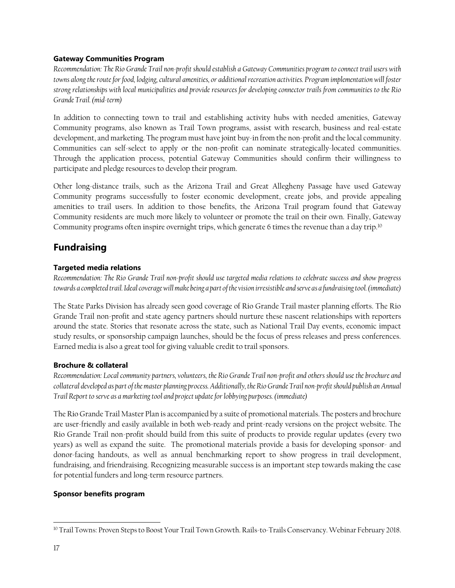#### <span id="page-16-0"></span>**Gateway Communities Program**

*Recommendation: The Rio Grande Trail non-profit should establish a Gateway Communities program to connect trail users with towns along the route for food, lodging, cultural amenities, or additional recreation activities. Program implementation will foster strong relationships with local municipalities and provide resources for developing connector trails from communities to the Rio Grande Trail. (mid-term)*

In addition to connecting town to trail and establishing activity hubs with needed amenities, Gateway Community programs, also known as Trail Town programs, assist with research, business and real-estate development, and marketing. The program must have joint buy-in from the non-profit and the local community. Communities can self-select to apply or the non-profit can nominate strategically-located communities. Through the application process, potential Gateway Communities should confirm their willingness to participate and pledge resources to develop their program.

Other long-distance trails, such as the Arizona Trail and Great Allegheny Passage have used Gateway Community programs successfully to foster economic development, create jobs, and provide appealing amenities to trail users. In addition to those benefits, the Arizona Trail program found that Gateway Community residents are much more likely to volunteer or promote the trail on their own. Finally, Gateway Community programs often inspire overnight trips, which generate 6 times the revenue than a day trip.<sup>10</sup>

### <span id="page-16-1"></span>**Fundraising**

### <span id="page-16-2"></span>**Targeted media relations**

*Recommendation: The Rio Grande Trail non-profit should use targeted media relations to celebrate success and show progress*  towards a completed trail. Ideal coverage will make being a part of the vision irresistible and serve as a fundraising tool. (immediate)

The State Parks Division has already seen good coverage of Rio Grande Trail master planning efforts. The Rio Grande Trail non-profit and state agency partners should nurture these nascent relationships with reporters around the state. Stories that resonate across the state, such as National Trail Day events, economic impact study results, or sponsorship campaign launches, should be the focus of press releases and press conferences. Earned media is also a great tool for giving valuable credit to trail sponsors.

### <span id="page-16-3"></span>**Brochure & collateral**

*Recommendation: Local community partners, volunteers, the Rio Grande Trail non-profit and others should use the brochure and collateral developed as part of the master planning process. Additionally, the Rio Grande Trail non-profit should publish an Annual Trail Report to serve as a marketing tool and project update for lobbying purposes. (immediate)*

The Rio Grande Trail Master Plan is accompanied by a suite of promotional materials. The posters and brochure are user-friendly and easily available in both web-ready and print-ready versions on the project website. The Rio Grande Trail non-profit should build from this suite of products to provide regular updates (every two years) as well as expand the suite. The promotional materials provide a basis for developing sponsor- and donor-facing handouts, as well as annual benchmarking report to show progress in trail development, fundraising, and friendraising. Recognizing measurable success is an important step towards making the case for potential funders and long-term resource partners.

### <span id="page-16-4"></span>**Sponsor benefits program**

 $\overline{a}$ <sup>10</sup> Trail Towns: Proven Steps to Boost Your Trail Town Growth. Rails-to-Trails Conservancy. Webinar February 2018.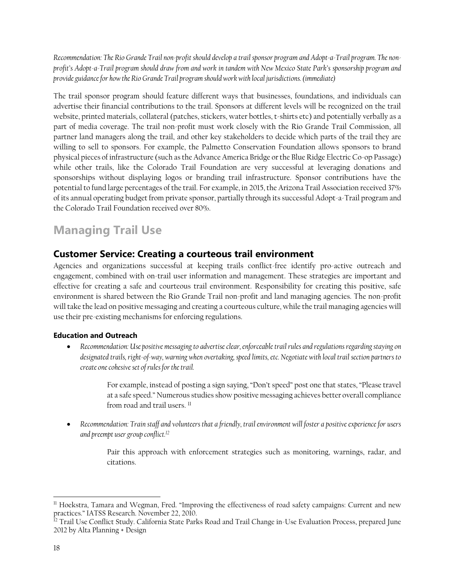*Recommendation: The Rio Grande Trail non-profit should develop a trail sponsor program and Adopt-a-Trail program. The nonprofit's Adopt-a-Trail program should draw from and work in tandem with New Mexico State Park's sponsorship program and provide guidance for how the Rio Grande Trail program should work with local jurisdictions. (immediate)* 

The trail sponsor program should feature different ways that businesses, foundations, and individuals can advertise their financial contributions to the trail. Sponsors at different levels will be recognized on the trail website, printed materials, collateral (patches, stickers, water bottles, t-shirts etc) and potentially verbally as a part of media coverage. The trail non-profit must work closely with the Rio Grande Trail Commission, all partner land managers along the trail, and other key stakeholders to decide which parts of the trail they are willing to sell to sponsors. For example, the Palmetto Conservation Foundation allows sponsors to brand physical pieces of infrastructure (such as the Advance America Bridge or the Blue Ridge Electric Co-op Passage) while other trails, like the Colorado Trail Foundation are very successful at leveraging donations and sponsorships without displaying logos or branding trail infrastructure. Sponsor contributions have the potential to fund large percentages of the trail. For example, in 2015, the Arizona Trail Association received 37% of its annual operating budget from private sponsor, partially through its successful Adopt-a-Trail program and the Colorado Trail Foundation received over 80%.

## <span id="page-17-0"></span>**Managing Trail Use**

### <span id="page-17-1"></span>**Customer Service: Creating a courteous trail environment**

Agencies and organizations successful at keeping trails conflict-free identify pro-active outreach and engagement, combined with on-trail user information and management. These strategies are important and effective for creating a safe and courteous trail environment. Responsibility for creating this positive, safe environment is shared between the Rio Grande Trail non-profit and land managing agencies. The non-profit will take the lead on positive messaging and creating a courteous culture, while the trail managing agencies will use their pre-existing mechanisms for enforcing regulations.

### <span id="page-17-2"></span>**Education and Outreach**

• *Recommendation: Use positive messaging to advertise clear, enforceable trail rules and regulations regarding staying on designated trails, right-of-way, warning when overtaking, speed limits, etc. Negotiate with local trail section partners to create one cohesive set of rules for the trail.*

> For example, instead of posting a sign saying, "Don't speed" post one that states, "Please travel at a safe speed." Numerous studies show positive messaging achieves better overall compliance from road and trail users.<sup>11</sup>

• *Recommendation: Train staff and volunteers that a friendly, trail environment will foster a positive experience for users and preempt user group conflict. 12*

> Pair this approach with enforcement strategies such as monitoring, warnings, radar, and citations.

 $\overline{a}$ <sup>11</sup> Hoekstra, Tamara and Wegman, Fred. "Improving the effectiveness of road safety campaigns: Current and new practices." IATSS Research. November 22, 2010.

<sup>&</sup>lt;sup>12</sup> Trail Use Conflict Study. California State Parks Road and Trail Change in-Use Evaluation Process, prepared June 2012 by Alta Planning + Design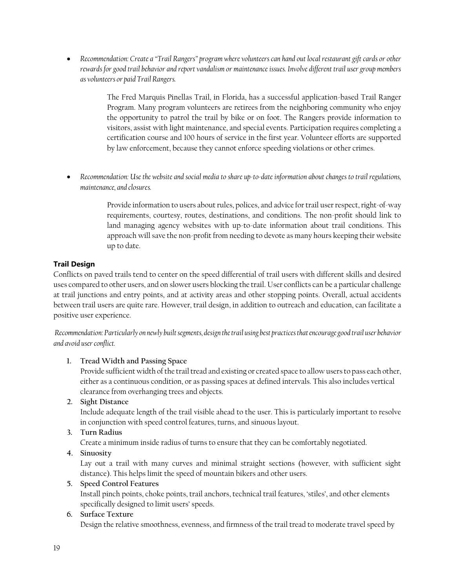• *Recommendation: Create a "Trail Rangers" program where volunteers can hand out local restaurant gift cards or other rewards for good trail behavior and report vandalism or maintenance issues. Involve different trail user group members as volunteers or paid Trail Rangers.* 

> The Fred Marquis Pinellas Trail, in Florida, has a successful application-based Trail Ranger Program. Many program volunteers are retirees from the neighboring community who enjoy the opportunity to patrol the trail by bike or on foot. The Rangers provide information to visitors, assist with light maintenance, and special events. Participation requires completing a certification course and 100 hours of service in the first year. Volunteer efforts are supported by law enforcement, because they cannot enforce speeding violations or other crimes.

• *Recommendation: Use the website and social media to share up-to-date information about changes to trail regulations, maintenance, and closures.* 

> Provide information to users about rules, polices, and advice for trail user respect, right-of-way requirements, courtesy, routes, destinations, and conditions. The non-profit should link to land managing agency websites with up-to-date information about trail conditions. This approach will save the non-profit from needing to devote as many hours keeping their website up to date.

### <span id="page-18-0"></span>**Trail Design**

Conflicts on paved trails tend to center on the speed differential of trail users with different skills and desired uses compared to other users, and on slower users blocking the trail. User conflicts can be a particular challenge at trail junctions and entry points, and at activity areas and other stopping points. Overall, actual accidents between trail users are quite rare. However, trail design, in addition to outreach and education, can facilitate a positive user experience.

*Recommendation: Particularly on newly built segments, design the trail using best practices that encourage good trail user behavior and avoid user conflict.* 

### **1. Tread Width and Passing Space**

Provide sufficient width of the trail tread and existing or created space to allow users to pass each other, either as a continuous condition, or as passing spaces at defined intervals. This also includes vertical clearance from overhanging trees and objects.

**2. Sight Distance**

Include adequate length of the trail visible ahead to the user. This is particularly important to resolve in conjunction with speed control features, turns, and sinuous layout.

### **3. Turn Radius**

Create a minimum inside radius of turns to ensure that they can be comfortably negotiated.

**4. Sinuosity** 

Lay out a trail with many curves and minimal straight sections (however, with sufficient sight distance). This helps limit the speed of mountain bikers and other users.

### **5. Speed Control Features**

Install pinch points, choke points, trail anchors, technical trail features, 'stiles', and other elements specifically designed to limit users' speeds.

### **6. Surface Texture**

Design the relative smoothness, evenness, and firmness of the trail tread to moderate travel speed by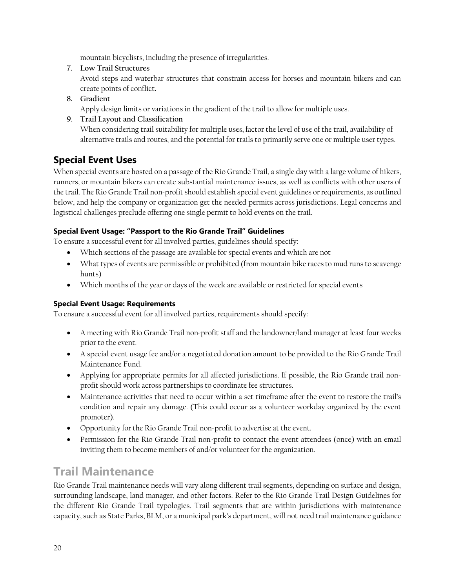mountain bicyclists, including the presence of irregularities.

**7. Low Trail Structures**

Avoid steps and waterbar structures that constrain access for horses and mountain bikers and can create points of conflict**.**

- **8. Gradient**  Apply design limits or variations in the gradient of the trail to allow for multiple uses.
- **9. Trail Layout and Classification** When considering trail suitability for multiple uses, factor the level of use of the trail, availability of alternative trails and routes, and the potential for trails to primarily serve one or multiple user types.

### <span id="page-19-0"></span>**Special Event Uses**

When special events are hosted on a passage of the Rio Grande Trail, a single day with a large volume of hikers, runners, or mountain bikers can create substantial maintenance issues, as well as conflicts with other users of the trail. The Rio Grande Trail non-profit should establish special event guidelines or requirements, as outlined below, and help the company or organization get the needed permits across jurisdictions. Legal concerns and logistical challenges preclude offering one single permit to hold events on the trail.

### <span id="page-19-1"></span>**Special Event Usage: "Passport to the Rio Grande Trail" Guidelines**

To ensure a successful event for all involved parties, guidelines should specify:

- Which sections of the passage are available for special events and which are not
- What types of events are permissible or prohibited (from mountain bike races to mud runs to scavenge hunts)
- Which months of the year or days of the week are available or restricted for special events

### <span id="page-19-2"></span>**Special Event Usage: Requirements**

To ensure a successful event for all involved parties, requirements should specify:

- A meeting with Rio Grande Trail non-profit staff and the landowner/land manager at least four weeks prior to the event.
- A special event usage fee and/or a negotiated donation amount to be provided to the Rio Grande Trail Maintenance Fund.
- Applying for appropriate permits for all affected jurisdictions. If possible, the Rio Grande trail nonprofit should work across partnerships to coordinate fee structures.
- Maintenance activities that need to occur within a set timeframe after the event to restore the trail's condition and repair any damage. (This could occur as a volunteer workday organized by the event promoter).
- Opportunity for the Rio Grande Trail non-profit to advertise at the event.
- Permission for the Rio Grande Trail non-profit to contact the event attendees (once) with an email inviting them to become members of and/or volunteer for the organization.

## <span id="page-19-3"></span>**Trail Maintenance**

Rio Grande Trail maintenance needs will vary along different trail segments, depending on surface and design, surrounding landscape, land manager, and other factors. Refer to the Rio Grande Trail Design Guidelines for the different Rio Grande Trail typologies. Trail segments that are within jurisdictions with maintenance capacity, such as State Parks, BLM, or a municipal park's department, will not need trail maintenance guidance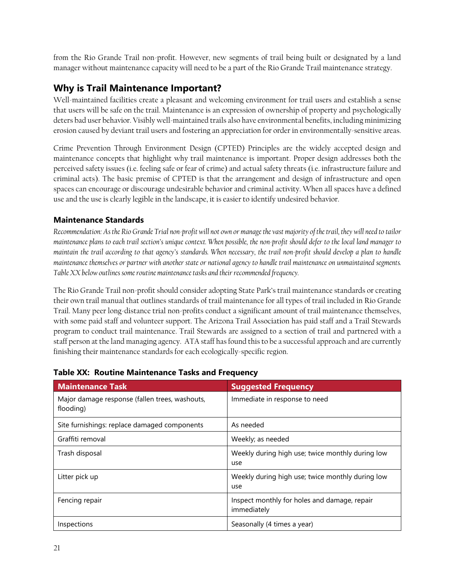from the Rio Grande Trail non-profit. However, new segments of trail being built or designated by a land manager without maintenance capacity will need to be a part of the Rio Grande Trail maintenance strategy.

### **Why is Trail Maintenance Important?**

Well-maintained facilities create a pleasant and welcoming environment for trail users and establish a sense that users will be safe on the trail. Maintenance is an expression of ownership of property and psychologically deters bad user behavior. Visibly well-maintained trails also have environmental benefits, including minimizing erosion caused by deviant trail users and fostering an appreciation for order in environmentally-sensitive areas.

Crime Prevention Through Environment Design (CPTED) Principles are the widely accepted design and maintenance concepts that highlight why trail maintenance is important. Proper design addresses both the perceived safety issues (i.e. feeling safe or fear of crime) and actual safety threats (i.e. infrastructure failure and criminal acts). The basic premise of CPTED is that the arrangement and design of infrastructure and open spaces can encourage or discourage undesirable behavior and criminal activity. When all spaces have a defined use and the use is clearly legible in the landscape, it is easier to identify undesired behavior.

### **Maintenance Standards**

*Recommendation: As the Rio Grande Trial non-profit will not own or manage the vast majority of the trail, they will need to tailor maintenance plans to each trail section's unique context. When possible, the non-profit should defer to the local land manager to maintain the trail according to that agency's standards. When necessary, the trail non-profit should develop a plan to handle maintenance themselves or partner with another state or national agency to handle trail maintenance on unmaintained segments. Table XX below outlines some routine maintenance tasks and their recommended frequency.* 

The Rio Grande Trail non-profit should consider adopting State Park's trail maintenance standards or creating their own trail manual that outlines standards of trail maintenance for all types of trail included in Rio Grande Trail. Many peer long-distance trial non-profits conduct a significant amount of trail maintenance themselves, with some paid staff and volunteer support. The Arizona Trail Association has paid staff and a Trail Stewards program to conduct trail maintenance. Trail Stewards are assigned to a section of trail and partnered with a staff person at the land managing agency. ATA staff has found this to be a successful approach and are currently finishing their maintenance standards for each ecologically-specific region.

| <b>Maintenance Task</b>                                     | <b>Suggested Frequency</b>                                  |
|-------------------------------------------------------------|-------------------------------------------------------------|
| Major damage response (fallen trees, washouts,<br>flooding) | Immediate in response to need                               |
| Site furnishings: replace damaged components                | As needed                                                   |
| Graffiti removal                                            | Weekly; as needed                                           |
| Trash disposal                                              | Weekly during high use; twice monthly during low<br>use     |
| Litter pick up                                              | Weekly during high use; twice monthly during low<br>use     |
| Fencing repair                                              | Inspect monthly for holes and damage, repair<br>immediately |
| Inspections                                                 | Seasonally (4 times a year)                                 |

### **Table XX: Routine Maintenance Tasks and Frequency**